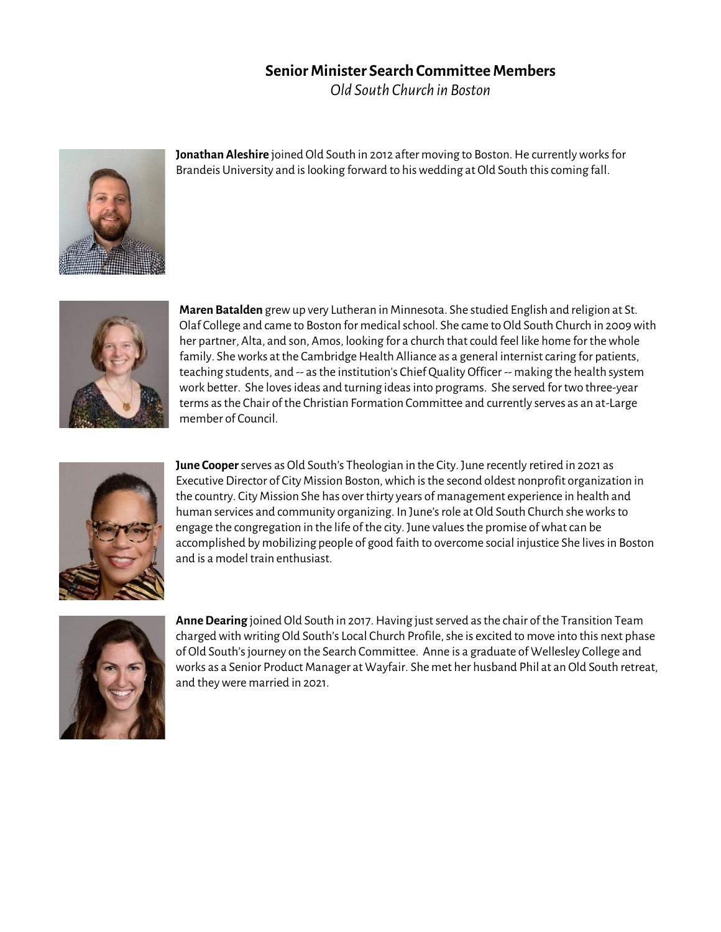## **Senior Minister Search Committee Members**

*Old South Church in Boston*



**Jonathan Aleshire** joined Old South in 2012 after moving to Boston. He currently works for Brandeis University and is looking forward to his wedding at Old South this coming fall.



**Maren Batalden** grew up very Lutheran in Minnesota. She studied English and religion at St. Olaf College and came to Boston for medical school. She came to Old South Church in 2009 with her partner, Alta, and son, Amos, looking for a church that could feel like home for the whole family. She works at the Cambridge Health Alliance as a general internist caring for patients, teaching students, and -- as the institution's Chief Quality Officer -- making the health system work better. She loves ideas and turning ideas into programs. She served for two three-year terms as the Chair of the Christian Formation Committee and currently serves as an at-Large member of Council.



**June Cooper**serves as Old South's Theologian in the City. June recently retired in 2021 as Executive Director of City Mission Boston, which is the second oldest nonprofit organization in the country. City Mission She has over thirty years of management experience in health and human services and community organizing. In June's role at Old South Church sheworks to engage the congregation in the life of the city. June values the promise of what can be accomplished by mobilizing people of good faith to overcome social injustice She lives in Boston and is a model train enthusiast.



**Anne Dearing** joined Old South in 2017. Having just served as the chair of the Transition Team charged with writing Old South's Local Church Profile, she is excited to move into this next phase of Old South's journey on the Search Committee. Anne is a graduate of Wellesley College and works as a Senior Product Manager at Wayfair. She met her husband Phil at an Old South retreat, and they were married in 2021.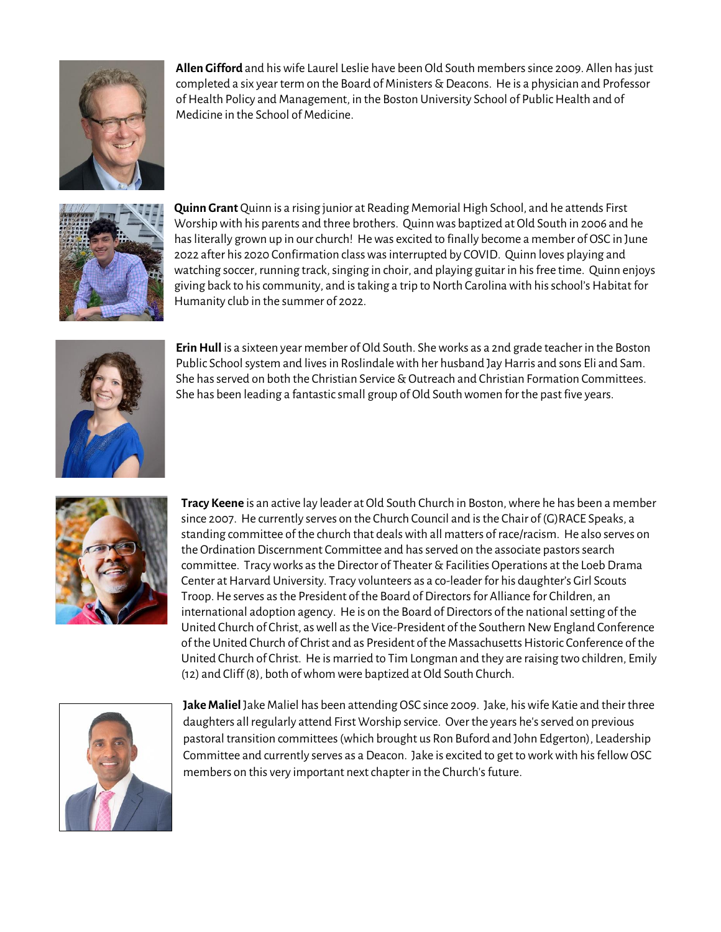

**Allen Gifford** and his wife Laurel Leslie have been Old South members since 2009. Allen has just completed a six year term on the Board of Ministers & Deacons. He is a physician and Professor of Health Policy and Management, in the Boston University School of Public Health and of Medicine in the School of Medicine.



**Quinn Grant** Quinn is a rising junior at Reading Memorial High School, and he attends First Worship with his parents and three brothers. Quinn was baptized at Old South in 2006 and he has literally grown up in our church! He was excited to finally become a member of OSC in June 2022 after his 2020 Confirmation class was interrupted by COVID. Quinn loves playing and watching soccer, running track, singing in choir, and playing guitar in his free time. Quinn enjoys giving back to his community, and is taking a trip to North Carolina with his school's Habitat for Humanity club in the summer of 2022.



**Erin Hull** is a sixteen year member of Old South. She works as a 2nd grade teacher in the Boston Public School system and lives in Roslindale with her husband Jay Harris and sons Eli and Sam. She has served on both the Christian Service & Outreach and Christian Formation Committees. She has been leading a fantastic small group of Old South women for the past five years.



**Tracy Keene** is an active lay leader at Old South Church in Boston, where he has been a member since 2007. He currently serves on the Church Council and is the Chair of (G)RACE Speaks, a standing committee of the church that deals with all matters of race/racism. He also serves on the Ordination Discernment Committee and has served on the associate pastors search committee. Tracyworks as the Director of Theater & Facilities Operations at the Loeb Drama Center at Harvard University. Tracy volunteers as a co-leader for his daughter's Girl Scouts Troop. He serves as the President of the Board of Directors for Alliance for Children, an international adoption agency. He is on the Board of Directors of the national setting of the United Church of Christ, as well as the Vice-President of the Southern New England Conference of the United Church of Christ and as President of the Massachusetts Historic Conference of the United Church of Christ. He is married to Tim Longman and they are raising two children, Emily (12) and Cliff (8), both of whom were baptized at Old South Church.



**Jake Maliel** Jake Maliel has been attending OSC since 2009. Jake, his wife Katie and their three daughters all regularly attend First Worship service. Over the years he's served on previous pastoral transition committees (which brought us Ron Buford and John Edgerton), Leadership Committee and currently serves as a Deacon. Jake is excited to get to work with his fellow OSC members on this very important next chapter in the Church's future.